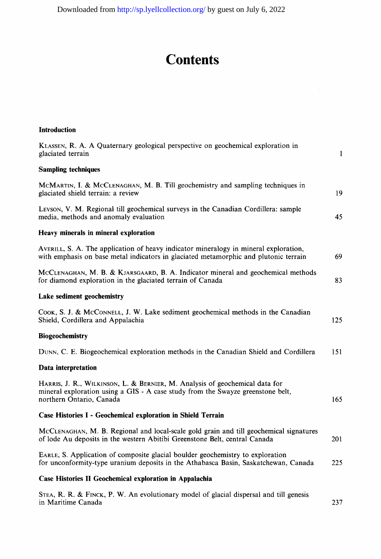## **Contents**

| KLASSEN, R. A. A Quaternary geological perspective on geochemical exploration in<br>glaciated terrain                                                                                      | 1   |
|--------------------------------------------------------------------------------------------------------------------------------------------------------------------------------------------|-----|
| <b>Sampling techniques</b>                                                                                                                                                                 |     |
| MCMARTIN, I. & MCCLENAGHAN, M. B. Till geochemistry and sampling techniques in<br>glaciated shield terrain: a review                                                                       | 19  |
| Levson, V. M. Regional till geochemical surveys in the Canadian Cordillera: sample<br>media, methods and anomaly evaluation                                                                | 45  |
| Heavy minerals in mineral exploration                                                                                                                                                      |     |
| AVERILL, S. A. The application of heavy indicator mineralogy in mineral exploration,<br>with emphasis on base metal indicators in glaciated metamorphic and plutonic terrain               | 69  |
| MCCLENAGHAN, M. B. & KJARSGAARD, B. A. Indicator mineral and geochemical methods<br>for diamond exploration in the glaciated terrain of Canada                                             | 83  |
| Lake sediment geochemistry                                                                                                                                                                 |     |
| COOK, S. J. & McCONNELL, J. W. Lake sediment geochemical methods in the Canadian<br>Shield, Cordillera and Appalachia                                                                      | 125 |
| <b>Biogeochemistry</b>                                                                                                                                                                     |     |
| DUNN, C. E. Biogeochemical exploration methods in the Canadian Shield and Cordillera                                                                                                       | 151 |
| Data interpretation                                                                                                                                                                        |     |
| HARRIS, J. R., WILKINSON, L. & BERNIER, M. Analysis of geochemical data for<br>mineral exploration using a GIS - A case study from the Swayze greenstone belt,<br>northern Ontario, Canada | 165 |
| Case Histories I - Geochemical exploration in Shield Terrain                                                                                                                               |     |
| MCCLENAGHAN, M. B. Regional and local-scale gold grain and till geochemical signatures<br>of lode Au deposits in the western Abitibi Greenstone Belt, central Canada                       | 201 |
| EARLE, S. Application of composite glacial boulder geochemistry to exploration<br>for unconformity-type uranium deposits in the Athabasca Basin, Saskatchewan, Canada                      | 225 |
| Case Histories II Geochemical exploration in Appalachia                                                                                                                                    |     |
| STEA, R. R. & FINCK, P. W. An evolutionary model of glacial dispersal and till genesis<br>in Maritime Canada                                                                               | 237 |

**Introduction**